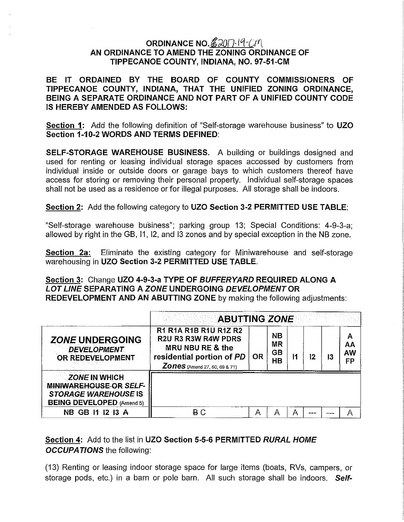### **ORDINANCE NO.**  $\&2017.19 - (11)$ **AN ORDINANCE TO AMEND THE ZONING ORDINANCE OF TIPPECANOE COUNTY, INDIANA, NO. 97-51-CM**

#### **BE IT ORDAINED BY THE BOARD OF COUNTY COMMISSIONERS OF TIPPECANOE COUNTY, INDIANA, THAT THE UNIFIED ZONING ORDINANCE, BEING A SEPARATE ORDINANCE AND NOT PART OF A UNIFIED COUNTY CODE IS HEREBY AMENDED AS FOLLOWS:**

**Section 1:** Add the following definition of "Self-storage warehouse business" to **UZO Section 1-10-2 WORDS AND TERMS DEFINED:** 

**SELF-STORAGE WAREHOUSE BUSINESS.** A building or buildings designed and used for renting or leasing individual storage spaces accessed by customers from individual inside or outside doors or garage bays to which customers thereof have access for storing or removing their personal property. Individual self-storage spaces shall not be used as a residence or for illegal purposes. All storage shall be indoors.

#### **Section 2:** Add the following category to **UZO Section 3-2 PERMITTED USE TABLE:**

"Self-storage warehouse business"; parking group 13; Special Conditions: 4-9-3-a; allowed by right in the GB, 11, 12, and 13 zones and by special exception in the NB zone.

**Section 2a:** Eliminate the existing category for Miniwarehouse and self-storage warehousing in **UZO Section 3-2 PERMITTED USE TABLE.** 

#### **Section 3:** Change **UZO 4-9-3-a TYPE OF BUFFERYARD REQUIRED ALONG A LOT LINE SEPARATING A ZONE UNDERGOING DEVELOPMENT OR REDEVELOPMENT AND AN ABUTTING ZONE** by making the following adjustments:

|                                                                                                                          | <b>ABUTTING ZONE</b>                                                                                                                                |    |                             |    |    |    |                            |
|--------------------------------------------------------------------------------------------------------------------------|-----------------------------------------------------------------------------------------------------------------------------------------------------|----|-----------------------------|----|----|----|----------------------------|
| <b>ZONE UNDERGOING</b><br>DEVELOPMENT<br>OR REDEVELOPMENT                                                                | <b>R1 R1A R1B R1U R1Z R2</b><br><b>R2U R3 R3W R4W PDRS</b><br>MRU NBU RE & the<br>residential portion of PD<br><b>Zones</b> (Amend 27, 60, 69 & 71) | OR | <b>NB</b><br>MR<br>GB<br>HB | 11 | 12 | 13 | А<br>AA<br>AW<br><b>FP</b> |
| <b>ZONE IN WHICH</b><br><b>MINIWAREHOUSE OR SELF-</b><br><b>STORAGE WAREHOUSE IS</b><br><b>BEING DEVELOPED (Amend 5)</b> |                                                                                                                                                     |    |                             |    |    |    |                            |
| NB GB 11 12 13 A                                                                                                         | ВC                                                                                                                                                  | А  |                             |    |    |    |                            |

### **Section 4:** Add to the list in **UZO Section 5-5-6 PERMITTED RURAL HOME OCCUPATIONS** the following:

(13) Renting or leasing indoor storage space for large items (boats, RVs, campers, or storage pods, etc.) in a barn or pole barn. All such storage shall be indoors. **Self-**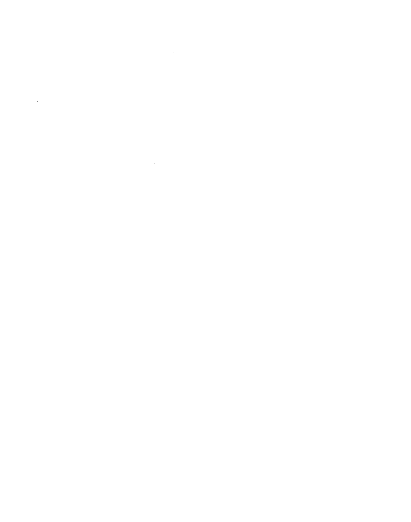# $\label{eq:2.1} \frac{1}{\sqrt{2\pi}}\int_{0}^{\infty}\frac{1}{\sqrt{2\pi}}\left(\frac{1}{\sqrt{2\pi}}\right)^{2\alpha} \frac{1}{\sqrt{2\pi}}\int_{0}^{\infty}\frac{1}{\sqrt{2\pi}}\left(\frac{1}{\sqrt{2\pi}}\right)^{\alpha} \frac{1}{\sqrt{2\pi}}\frac{1}{\sqrt{2\pi}}\int_{0}^{\infty}\frac{1}{\sqrt{2\pi}}\frac{1}{\sqrt{2\pi}}\frac{1}{\sqrt{2\pi}}\frac{1}{\sqrt{2\pi}}\frac{1}{\sqrt{2\pi}}\frac{1}{\sqrt{2\$

 $\label{eq:2.1} \frac{1}{\sqrt{2}}\int_{\mathbb{R}^3} \left|\frac{d\mu}{d\mu}\right|^2 \, d\mu = \frac{1}{2}\int_{\mathbb{R}^3} \left|\frac{d\mu}{d\mu}\right|^2 \, d\mu.$ 

 $\label{eq:2.1} \mathcal{L}(\mathcal{L}^{\text{max}}_{\mathcal{L}}(\mathcal{L}^{\text{max}}_{\mathcal{L}})) = \mathcal{L}(\mathcal{L}^{\text{max}}_{\mathcal{L}}(\mathcal{L}^{\text{max}}_{\mathcal{L}})) = \mathcal{L}(\mathcal{L}^{\text{max}}_{\mathcal{L}}(\mathcal{L}^{\text{max}}_{\mathcal{L}}))$ 

 $\label{eq:2.1} \frac{1}{\sqrt{2}}\int_{\mathbb{R}^3}\frac{1}{\sqrt{2}}\left(\frac{1}{\sqrt{2}}\right)^2\frac{1}{\sqrt{2}}\left(\frac{1}{\sqrt{2}}\right)^2\frac{1}{\sqrt{2}}\left(\frac{1}{\sqrt{2}}\right)^2\frac{1}{\sqrt{2}}\left(\frac{1}{\sqrt{2}}\right)^2.$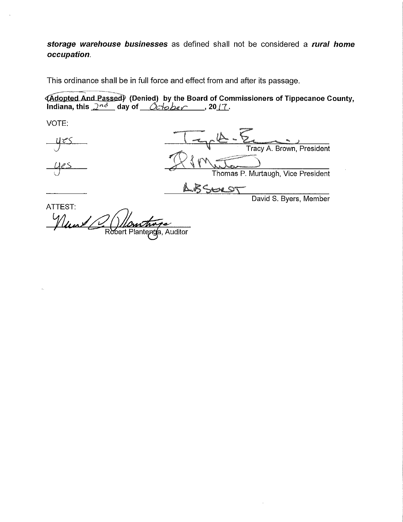storage warehouse businesses as defined shall not be considered a rural home occupation.

This ordinance shall be in full force and effect from and after its passage.

(Adopted And Passed) (Denied) by the Board of Commissioners of Tippecanoe County,  $\frac{1}{2}$  Indiana, this  $\frac{2^{nd}}{d}$  day of  $\frac{\partial^2}{\partial}$  or  $\frac{1}{2}$ .

VOTE:

with a series of the Second Tracy A. Brown, President Thomas P. Murtaugh, Vice President BSCLOT

David S. Byers, Member

**ATTEST:** Nuw (a, Auditor ∖obert Planten⁄o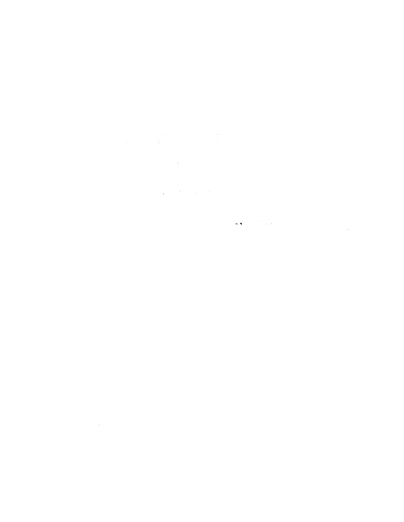$\label{eq:2.1} \frac{1}{\sqrt{2}}\int_{0}^{\infty}\frac{1}{\sqrt{2\pi}}\left(\frac{1}{\sqrt{2\pi}}\right)^{2\alpha} \frac{1}{\sqrt{2\pi}}\int_{0}^{\infty}\frac{1}{\sqrt{2\pi}}\left(\frac{1}{\sqrt{2\pi}}\right)^{\alpha} \frac{1}{\sqrt{2\pi}}\frac{1}{\sqrt{2\pi}}\int_{0}^{\infty}\frac{1}{\sqrt{2\pi}}\frac{1}{\sqrt{2\pi}}\frac{1}{\sqrt{2\pi}}\frac{1}{\sqrt{2\pi}}\frac{1}{\sqrt{2\pi}}\frac{1}{\sqrt{2\pi}}$  $\label{eq:2.1} \frac{1}{\sqrt{2\pi}}\int_{\mathbb{R}^3}\frac{1}{\sqrt{2\pi}}\int_{\mathbb{R}^3}\frac{1}{\sqrt{2\pi}}\int_{\mathbb{R}^3}\frac{1}{\sqrt{2\pi}}\int_{\mathbb{R}^3}\frac{1}{\sqrt{2\pi}}\int_{\mathbb{R}^3}\frac{1}{\sqrt{2\pi}}\int_{\mathbb{R}^3}\frac{1}{\sqrt{2\pi}}\int_{\mathbb{R}^3}\frac{1}{\sqrt{2\pi}}\int_{\mathbb{R}^3}\frac{1}{\sqrt{2\pi}}\int_{\mathbb{R}^3}\frac{1$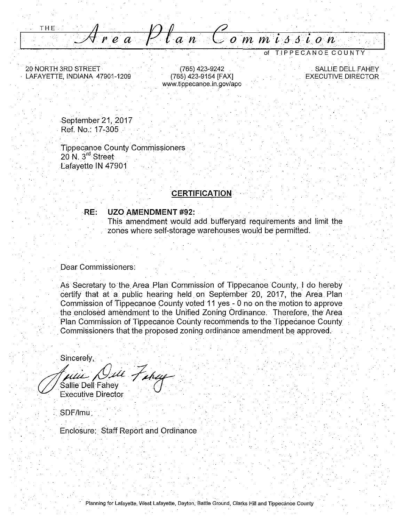$\frac{7\,H\,E}{\mathcal{A}\,r\,e\,a}\,\mathcal{D}\,\ell\,a\,n\,\mathcal{C}\,o\,m\,m\,i\,s\,s\,i\,o\,n}$ 

20 NORTH 3RD STREET LAFAYETTE, INDiANA 47901-1209

(765) 423-9242 (765) 423-9154 [FAX] www.tippecanoe.in.gov/apc

. SALLIE DELL FAHEY EXECUTIVE DIRECTOR

of TIPPECANOECOUNTY

September21, 2017 Ref. No.: 17-305

Tippecanoe County Commissioners  $20$  N.  $3<sup>rd</sup>$  Street Lafayette IN 47901

### **CERTIFICATION**

#### **·RE: UZO AMENDMENT #92:**

This amendment would add bufferyard requirements and limit the . zones where self-storage warehouses would be permitted. .

#### Dear Commissioners:

As Secretary to the. Area Plan Commission of Tippecanoe County, I do hereby certify that at a public hearing held on September 20, 2017, the Area Plan Commission of Tippecanoe County voted 11 yes - O no on the motion to approve the enclosed amendment to the Unified Zoning Ordinance. Therefore, the Area Plan commission of Tippecanoe County recommends to the Tippecanoe County . Commissioners that the proposed zoning ordinance amendment be approved .

Sincerely,

*quin Nulle / hag*<br>Sallie Dell Fahey<br>Executive Director

SDF/lmu.

Enclosure: Staff Report and Ordinance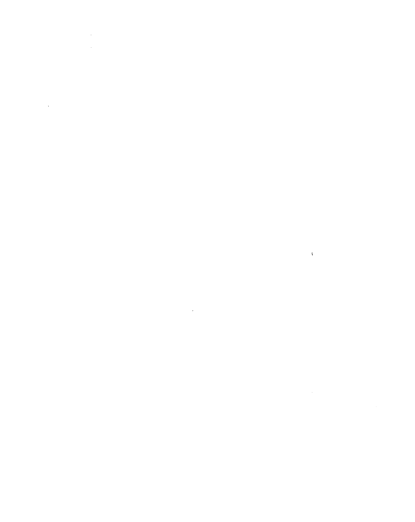$\mathcal{L}(\mathcal{A})$  and  $\mathcal{L}(\mathcal{A})$ 

 $\label{eq:3.1} \mathbf{Q} = \mathbf{Q} \mathbf{Q} + \mathbf{Q} \mathbf{Q} \mathbf{Q} + \mathbf{Q} \mathbf{Q} \mathbf{Q} \mathbf{Q} + \mathbf{Q} \mathbf{Q} \mathbf{Q} \mathbf{Q} \mathbf{Q} \mathbf{Q} \mathbf{Q} \mathbf{Q} \mathbf{Q} \mathbf{Q} \mathbf{Q} \mathbf{Q} \mathbf{Q} \mathbf{Q} \mathbf{Q} \mathbf{Q} \mathbf{Q} \mathbf{Q} \mathbf{Q} \mathbf{Q} \mathbf{Q} \mathbf{Q} \mathbf{Q} \mathbf{Q} \mathbf$ 

 $\label{eq:2.1} \frac{1}{\sqrt{2}}\left(\frac{1}{\sqrt{2}}\right)^{2} \left(\frac{1}{\sqrt{2}}\right)^{2} \left(\frac{1}{\sqrt{2}}\right)^{2} \left(\frac{1}{\sqrt{2}}\right)^{2} \left(\frac{1}{\sqrt{2}}\right)^{2} \left(\frac{1}{\sqrt{2}}\right)^{2} \left(\frac{1}{\sqrt{2}}\right)^{2} \left(\frac{1}{\sqrt{2}}\right)^{2} \left(\frac{1}{\sqrt{2}}\right)^{2} \left(\frac{1}{\sqrt{2}}\right)^{2} \left(\frac{1}{\sqrt{2}}\right)^{2} \left(\$ 

 $\label{eq:2.1} \mathcal{L}(\mathcal{L}^{\text{max}}_{\mathcal{L}}(\mathcal{L}^{\text{max}}_{\mathcal{L}}))\leq \mathcal{L}(\mathcal{L}^{\text{max}}_{\mathcal{L}}(\mathcal{L}^{\text{max}}_{\mathcal{L}}))$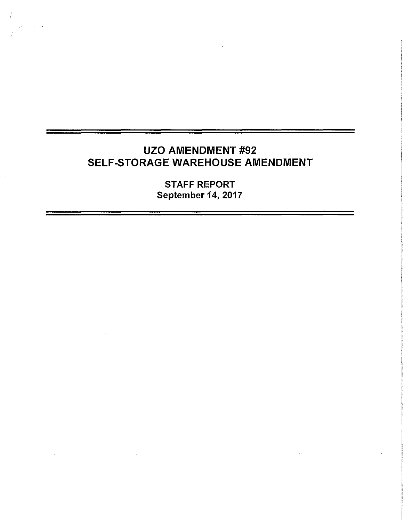# UZO AMENDMENT #92 SELF-STORAGE WAREHOUSE AMENDMENT

STAFF REPORT September 14, 2017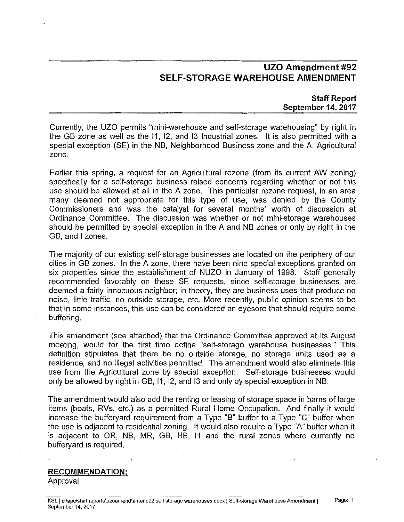### **UZO Amendment #92 SELF-STORAGE WAREHOUSE AMENDMENT**

#### **Staff Report September 14, 2017**

Currently, the UZO permits "mini-warehouse and self-storage warehousing" by right in the GB zone as well as the 11, 12, and 13 Industrial zones. It is also permitted with a special exception (SE) in the NB, Neighborhood Business zone and the A, Agricultural zone.

Earlier this spring, a request for an Agricultural rezone (from its current AW zoning) specifically for a self-storage business raised concerns regarding whether or not this use should be allowed at all in the A zone. This particular rezone request, in an area many deemed not appropriate for this type of use, was denied by the County Commissioners and was the catalyst for several months' worth of discussion at Ordinance Committee. The discussion was whether or not mini-storage warehouses should be permitted by special exception in the A and NB zones or only by right in the GB, and I zones.

The majority of our existing self-storage businesses are located on the periphery of our cities in GB zones. In the A zone, there have been nine special exceptions granted on six properties since the establishment of NUZO in January of 1998. Staff generally recommended favorably on these SE requests, since self-storage businesses are deemed a fairly innocuous neighbor; in theory, they are business uses that produce no noise, little traffic, no outside storage, etc. More recently, public opinion seems to be that in some instances, this use can be considered an eyesore that should require some buffering.

This amendment (see attached) that the Ordinance Committee approved at its August meeting, would for the first time define "self-storage warehouse businesses." This definition stipulates that there be no outside storage, no storage units used as a residence, and no illegal activities permitted. The amendment would also eliminate this use from the Agricultural zone by special exception. Self-storage businesses would only be allowed by right in GB, 11, 12, and 13 and only by special exception in NB.

The amendment would also add the renting or leasing of storage space in barns of large items (boats, RVs, etc.) as a permitted Rural Home Occupation. And finally it would increase the bufferyard requirement from a Type "B" buffer to a Type "C" buffer when the use is adjacent to residential zoning. It would also require a Type "A" buffer when it is adjacent to OR, NB, MR, GB, HB, 11 and the rural zones where currently no bufferyard is required.

# **RECOMMENDATION:**

Approval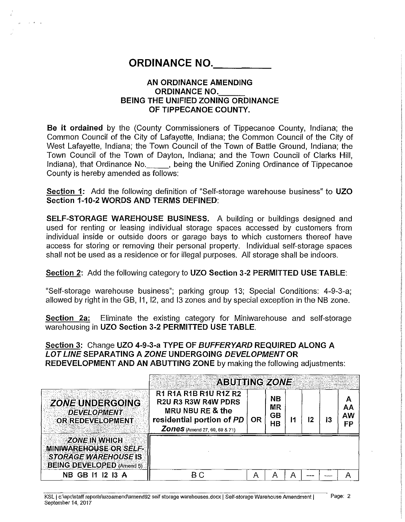# **ORDINANCE NO.**

# AN ORDINANCE AMENDING ORDINANCE NO.<br>BEING THE UNIFIED ZONING ORDINANCE OF TIPPECANOE COUNTY.

Be it ordained by the (County Commissioners of Tippecanoe County, Indiana; the Common Council of the City of Lafayette, Indiana; the Common Council of the City of West Lafayette, Indiana; the Town Council of the Town of Battle Ground, Indiana; the Town Council of the Town of Dayton, Indiana; and the Town Council of Clarks Hill, Indiana), that Ordinance No. \_\_\_\_\_, being the Unified Zoning Ordinance of Tippecanoe County is hereby amended as follows:

Section 1: Add the following definition of "Self-storage warehouse business" to UZO Section 1-10-2 WORDS AND TERMS DEFINED:

SELF-STORAGE WAREHOUSE BUSINESS. A building or buildings designed and used for renting or leasing individual storage spaces accessed by customers from individual inside or outside doors or garage bays to which customers thereof have access for storing or removing their personal property. Individual self-storage spaces shall not be used as a residence or for illegal purposes. All storage shall be indoors.

#### Section 2: Add the following category to UZO Section 3-2 PERMITTED USE TABLE:

"Self-storage warehouse business"; parking group 13; Special Conditions: 4-9-3-a; allowed by right in the GB, 11, 12, and 13 zones and by special exception in the NB zone.

**Section 2a:** Eliminate the existing category for Miniwarehouse and self-storage warehousing in UZO Section 3-2 PERMITTED USE TABLE.

Section 3: Change UZO 4-9-3-a TYPE OF BUFFERYARD REQUIRED ALONG A LOT LINE SEPARATING A ZONE UNDERGOING DEVELOPMENT OR REDEVELOPMENT AND AN ABUTTING ZONE by making the following adjustments:

|                                                                                                                   | <b>ABUTTING ZONE</b>                                                                                                                         |     |                                    |    |    |    |                     |
|-------------------------------------------------------------------------------------------------------------------|----------------------------------------------------------------------------------------------------------------------------------------------|-----|------------------------------------|----|----|----|---------------------|
| <b>ZONE UNDERGOING</b><br><b>DEVELOPMENT</b><br><b>OR REDEVELOPMENT</b>                                           | R1 R1A R1B R1U R1Z R2<br><b>R2U R3 R3W R4W PDRS</b><br>MRU NBU RE & the<br>residential portion of PD<br><b>Zones</b> (Amend 27, 60, 69 & 71) | OR. | NB<br><b>MR</b><br><b>GB</b><br>HB | 11 | 12 | 13 | А<br>AΑ<br>AW<br>FP |
| <b>ZONE IN WHICH</b><br>MINIWAREHOUSE OR SELF-<br><b>STORAGE WAREHOUSE IS</b><br><b>BEING DEVELOPED</b> (Amend 5) |                                                                                                                                              |     |                                    |    |    |    |                     |
| NB GB I1<br>$\overline{12}$                                                                                       |                                                                                                                                              |     |                                    | Α  |    |    |                     |